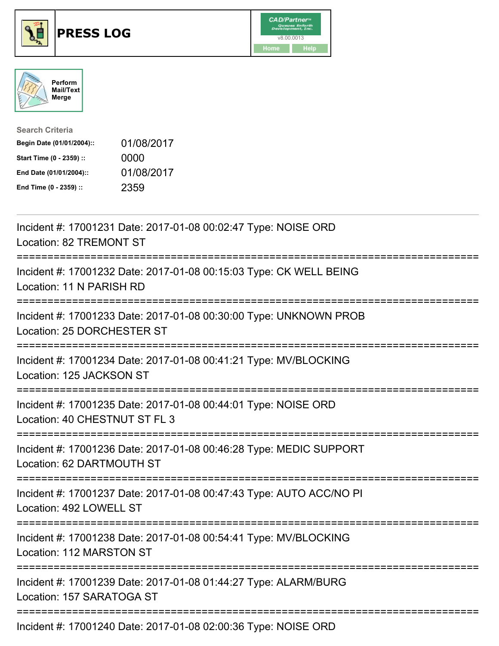





| <b>Search Criteria</b>    |            |
|---------------------------|------------|
| Begin Date (01/01/2004):: | 01/08/2017 |
| Start Time (0 - 2359) ::  | 0000       |
| End Date (01/01/2004)::   | 01/08/2017 |
| End Time (0 - 2359) ::    | 2359       |

| Incident #: 17001231 Date: 2017-01-08 00:02:47 Type: NOISE ORD<br>Location: 82 TREMONT ST                                                                                                     |
|-----------------------------------------------------------------------------------------------------------------------------------------------------------------------------------------------|
| Incident #: 17001232 Date: 2017-01-08 00:15:03 Type: CK WELL BEING<br>Location: 11 N PARISH RD<br>;===================================                                                        |
| Incident #: 17001233 Date: 2017-01-08 00:30:00 Type: UNKNOWN PROB<br>Location: 25 DORCHESTER ST                                                                                               |
| Incident #: 17001234 Date: 2017-01-08 00:41:21 Type: MV/BLOCKING<br>Location: 125 JACKSON ST                                                                                                  |
| Incident #: 17001235 Date: 2017-01-08 00:44:01 Type: NOISE ORD<br>Location: 40 CHESTNUT ST FL 3                                                                                               |
| Incident #: 17001236 Date: 2017-01-08 00:46:28 Type: MEDIC SUPPORT<br>Location: 62 DARTMOUTH ST                                                                                               |
| Incident #: 17001237 Date: 2017-01-08 00:47:43 Type: AUTO ACC/NO PI<br>Location: 492 LOWELL ST                                                                                                |
| Incident #: 17001238 Date: 2017-01-08 00:54:41 Type: MV/BLOCKING<br>Location: 112 MARSTON ST                                                                                                  |
| Incident #: 17001239 Date: 2017-01-08 01:44:27 Type: ALARM/BURG<br>Location: 157 SARATOGA ST                                                                                                  |
| $L_{\text{c}}$ ; $L_{\text{c}}$ , $L_{\text{c}}$ , $47004040$ , $D_{\text{c}}$ ; $L_{\text{c}}$ , $0047$ , $04$ , $00$ , $00,00,00$ , $T_{\text{c}}$ , $L_{\text{c}}$ , $M$ $010$ $T$ , $0ND$ |

Incident #: 17001240 Date: 2017-01-08 02:00:36 Type: NOISE ORD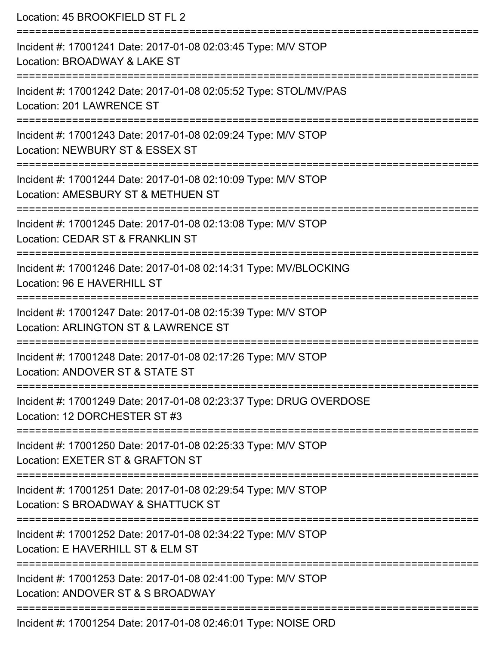| Location: 45 BROOKFIELD ST FL 2                                                                                                                                   |
|-------------------------------------------------------------------------------------------------------------------------------------------------------------------|
| Incident #: 17001241 Date: 2017-01-08 02:03:45 Type: M/V STOP<br>Location: BROADWAY & LAKE ST                                                                     |
| Incident #: 17001242 Date: 2017-01-08 02:05:52 Type: STOL/MV/PAS<br>Location: 201 LAWRENCE ST                                                                     |
| Incident #: 17001243 Date: 2017-01-08 02:09:24 Type: M/V STOP<br>Location: NEWBURY ST & ESSEX ST<br>=============================<br>============================ |
| Incident #: 17001244 Date: 2017-01-08 02:10:09 Type: M/V STOP<br>Location: AMESBURY ST & METHUEN ST                                                               |
| Incident #: 17001245 Date: 2017-01-08 02:13:08 Type: M/V STOP<br>Location: CEDAR ST & FRANKLIN ST<br>;==================================                          |
| Incident #: 17001246 Date: 2017-01-08 02:14:31 Type: MV/BLOCKING<br>Location: 96 E HAVERHILL ST                                                                   |
| Incident #: 17001247 Date: 2017-01-08 02:15:39 Type: M/V STOP<br>Location: ARLINGTON ST & LAWRENCE ST                                                             |
| Incident #: 17001248 Date: 2017-01-08 02:17:26 Type: M/V STOP<br>Location: ANDOVER ST & STATE ST                                                                  |
| ================================<br>Incident #: 17001249 Date: 2017-01-08 02:23:37 Type: DRUG OVERDOSE<br>Location: 12 DORCHESTER ST #3                           |
| Incident #: 17001250 Date: 2017-01-08 02:25:33 Type: M/V STOP<br>Location: EXETER ST & GRAFTON ST                                                                 |
| Incident #: 17001251 Date: 2017-01-08 02:29:54 Type: M/V STOP<br>Location: S BROADWAY & SHATTUCK ST                                                               |
| ------------------------<br>Incident #: 17001252 Date: 2017-01-08 02:34:22 Type: M/V STOP<br>Location: E HAVERHILL ST & ELM ST                                    |
| Incident #: 17001253 Date: 2017-01-08 02:41:00 Type: M/V STOP<br>Location: ANDOVER ST & S BROADWAY                                                                |
| Incident #: 17001254 Date: 2017-01-08 02:46:01 Type: NOISE ORD                                                                                                    |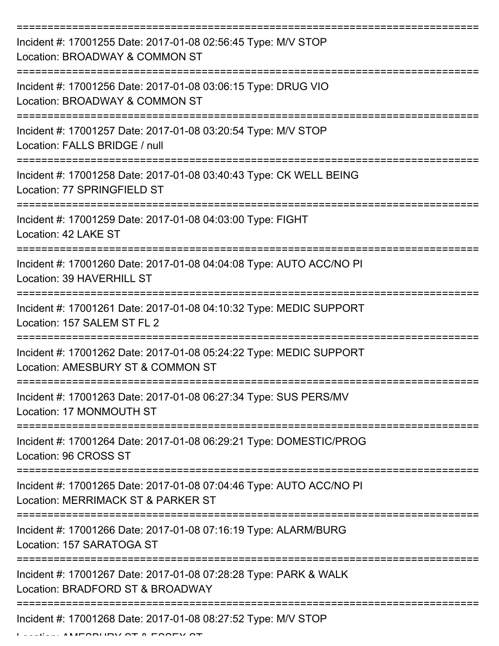| Incident #: 17001255 Date: 2017-01-08 02:56:45 Type: M/V STOP<br>Location: BROADWAY & COMMON ST           |
|-----------------------------------------------------------------------------------------------------------|
| Incident #: 17001256 Date: 2017-01-08 03:06:15 Type: DRUG VIO<br>Location: BROADWAY & COMMON ST           |
| Incident #: 17001257 Date: 2017-01-08 03:20:54 Type: M/V STOP<br>Location: FALLS BRIDGE / null            |
| Incident #: 17001258 Date: 2017-01-08 03:40:43 Type: CK WELL BEING<br>Location: 77 SPRINGFIELD ST         |
| Incident #: 17001259 Date: 2017-01-08 04:03:00 Type: FIGHT<br>Location: 42 LAKE ST                        |
| Incident #: 17001260 Date: 2017-01-08 04:04:08 Type: AUTO ACC/NO PI<br>Location: 39 HAVERHILL ST          |
| Incident #: 17001261 Date: 2017-01-08 04:10:32 Type: MEDIC SUPPORT<br>Location: 157 SALEM ST FL 2         |
| Incident #: 17001262 Date: 2017-01-08 05:24:22 Type: MEDIC SUPPORT<br>Location: AMESBURY ST & COMMON ST   |
| Incident #: 17001263 Date: 2017-01-08 06:27:34 Type: SUS PERS/MV<br>Location: 17 MONMOUTH ST              |
| Incident #: 17001264 Date: 2017-01-08 06:29:21 Type: DOMESTIC/PROG<br>Location: 96 CROSS ST               |
| Incident #: 17001265 Date: 2017-01-08 07:04:46 Type: AUTO ACC/NO PI<br>Location: MERRIMACK ST & PARKER ST |
| Incident #: 17001266 Date: 2017-01-08 07:16:19 Type: ALARM/BURG<br>Location: 157 SARATOGA ST              |
| Incident #: 17001267 Date: 2017-01-08 07:28:28 Type: PARK & WALK<br>Location: BRADFORD ST & BROADWAY      |
| Incident #: 17001268 Date: 2017-01-08 08:27:52 Type: M/V STOP                                             |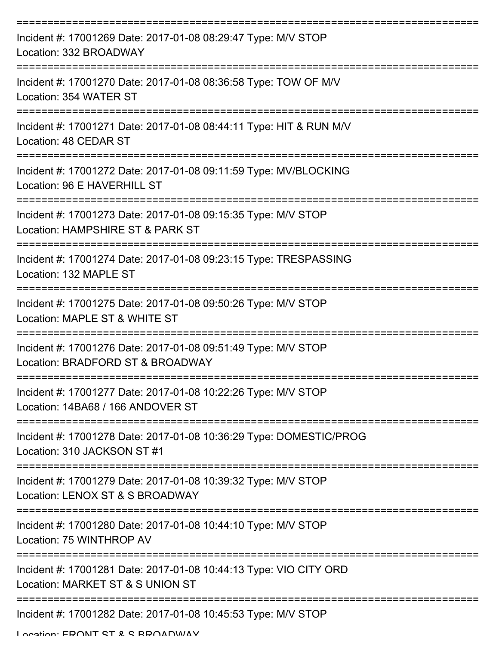| Incident #: 17001269 Date: 2017-01-08 08:29:47 Type: M/V STOP<br>Location: 332 BROADWAY               |
|-------------------------------------------------------------------------------------------------------|
| Incident #: 17001270 Date: 2017-01-08 08:36:58 Type: TOW OF M/V<br>Location: 354 WATER ST             |
| Incident #: 17001271 Date: 2017-01-08 08:44:11 Type: HIT & RUN M/V<br>Location: 48 CEDAR ST           |
| Incident #: 17001272 Date: 2017-01-08 09:11:59 Type: MV/BLOCKING<br>Location: 96 E HAVERHILL ST       |
| Incident #: 17001273 Date: 2017-01-08 09:15:35 Type: M/V STOP<br>Location: HAMPSHIRE ST & PARK ST     |
| Incident #: 17001274 Date: 2017-01-08 09:23:15 Type: TRESPASSING<br>Location: 132 MAPLE ST            |
| Incident #: 17001275 Date: 2017-01-08 09:50:26 Type: M/V STOP<br>Location: MAPLE ST & WHITE ST        |
| Incident #: 17001276 Date: 2017-01-08 09:51:49 Type: M/V STOP<br>Location: BRADFORD ST & BROADWAY     |
| Incident #: 17001277 Date: 2017-01-08 10:22:26 Type: M/V STOP<br>Location: 14BA68 / 166 ANDOVER ST    |
| Incident #: 17001278 Date: 2017-01-08 10:36:29 Type: DOMESTIC/PROG<br>Location: 310 JACKSON ST #1     |
| Incident #: 17001279 Date: 2017-01-08 10:39:32 Type: M/V STOP<br>Location: LENOX ST & S BROADWAY      |
| Incident #: 17001280 Date: 2017-01-08 10:44:10 Type: M/V STOP<br>Location: 75 WINTHROP AV             |
| Incident #: 17001281 Date: 2017-01-08 10:44:13 Type: VIO CITY ORD<br>Location: MARKET ST & S UNION ST |
| Incident #: 17001282 Date: 2017-01-08 10:45:53 Type: M/V STOP<br>Location: EDONIT CT 2 C DDOADMAV     |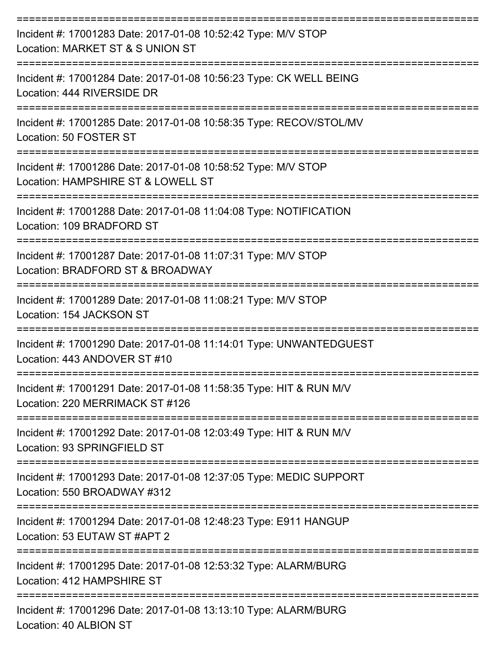| Incident #: 17001283 Date: 2017-01-08 10:52:42 Type: M/V STOP<br>Location: MARKET ST & S UNION ST                                       |
|-----------------------------------------------------------------------------------------------------------------------------------------|
| Incident #: 17001284 Date: 2017-01-08 10:56:23 Type: CK WELL BEING<br>Location: 444 RIVERSIDE DR                                        |
| Incident #: 17001285 Date: 2017-01-08 10:58:35 Type: RECOV/STOL/MV<br>Location: 50 FOSTER ST                                            |
| Incident #: 17001286 Date: 2017-01-08 10:58:52 Type: M/V STOP<br>Location: HAMPSHIRE ST & LOWELL ST                                     |
| --------------------<br>Incident #: 17001288 Date: 2017-01-08 11:04:08 Type: NOTIFICATION<br>Location: 109 BRADFORD ST<br>------------- |
| Incident #: 17001287 Date: 2017-01-08 11:07:31 Type: M/V STOP<br>Location: BRADFORD ST & BROADWAY                                       |
| Incident #: 17001289 Date: 2017-01-08 11:08:21 Type: M/V STOP<br>Location: 154 JACKSON ST                                               |
| Incident #: 17001290 Date: 2017-01-08 11:14:01 Type: UNWANTEDGUEST<br>Location: 443 ANDOVER ST #10                                      |
| Incident #: 17001291 Date: 2017-01-08 11:58:35 Type: HIT & RUN M/V<br>Location: 220 MERRIMACK ST #126                                   |
| Incident #: 17001292 Date: 2017-01-08 12:03:49 Type: HIT & RUN M/V<br>Location: 93 SPRINGFIELD ST                                       |
| Incident #: 17001293 Date: 2017-01-08 12:37:05 Type: MEDIC SUPPORT<br>Location: 550 BROADWAY #312                                       |
| Incident #: 17001294 Date: 2017-01-08 12:48:23 Type: E911 HANGUP<br>Location: 53 EUTAW ST #APT 2                                        |
| Incident #: 17001295 Date: 2017-01-08 12:53:32 Type: ALARM/BURG<br>Location: 412 HAMPSHIRE ST                                           |
| Incident #: 17001296 Date: 2017-01-08 13:13:10 Type: ALARM/BURG<br>Location: 40 ALBION ST                                               |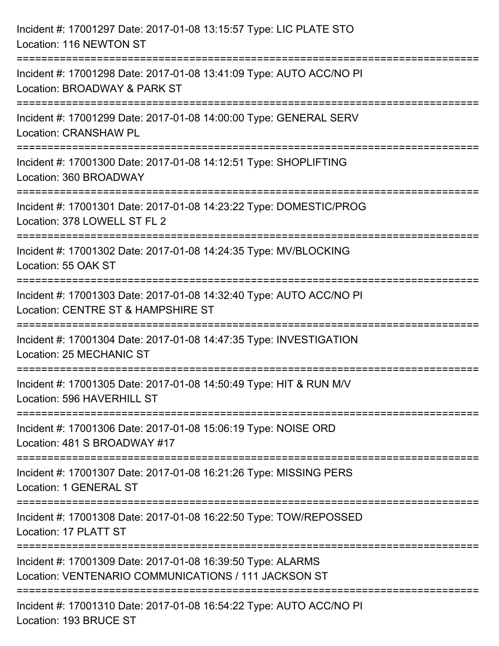| Incident #: 17001297 Date: 2017-01-08 13:15:57 Type: LIC PLATE STO<br>Location: 116 NEWTON ST                                            |
|------------------------------------------------------------------------------------------------------------------------------------------|
| =================================<br>Incident #: 17001298 Date: 2017-01-08 13:41:09 Type: AUTO ACC/NO PI<br>Location: BROADWAY & PARK ST |
| Incident #: 17001299 Date: 2017-01-08 14:00:00 Type: GENERAL SERV<br><b>Location: CRANSHAW PL</b>                                        |
| Incident #: 17001300 Date: 2017-01-08 14:12:51 Type: SHOPLIFTING<br>Location: 360 BROADWAY                                               |
| Incident #: 17001301 Date: 2017-01-08 14:23:22 Type: DOMESTIC/PROG<br>Location: 378 LOWELL ST FL 2                                       |
| Incident #: 17001302 Date: 2017-01-08 14:24:35 Type: MV/BLOCKING<br>Location: 55 OAK ST                                                  |
| Incident #: 17001303 Date: 2017-01-08 14:32:40 Type: AUTO ACC/NO PI<br>Location: CENTRE ST & HAMPSHIRE ST                                |
| Incident #: 17001304 Date: 2017-01-08 14:47:35 Type: INVESTIGATION<br><b>Location: 25 MECHANIC ST</b>                                    |
| Incident #: 17001305 Date: 2017-01-08 14:50:49 Type: HIT & RUN M/V<br>Location: 596 HAVERHILL ST                                         |
| Incident #: 17001306 Date: 2017-01-08 15:06:19 Type: NOISE ORD<br>Location: 481 S BROADWAY #17                                           |
| Incident #: 17001307 Date: 2017-01-08 16:21:26 Type: MISSING PERS<br>Location: 1 GENERAL ST                                              |
| Incident #: 17001308 Date: 2017-01-08 16:22:50 Type: TOW/REPOSSED<br>Location: 17 PLATT ST                                               |
| Incident #: 17001309 Date: 2017-01-08 16:39:50 Type: ALARMS<br>Location: VENTENARIO COMMUNICATIONS / 111 JACKSON ST                      |
| Incident #: 17001310 Date: 2017-01-08 16:54:22 Type: AUTO ACC/NO PI<br>Location: 193 BRUCE ST                                            |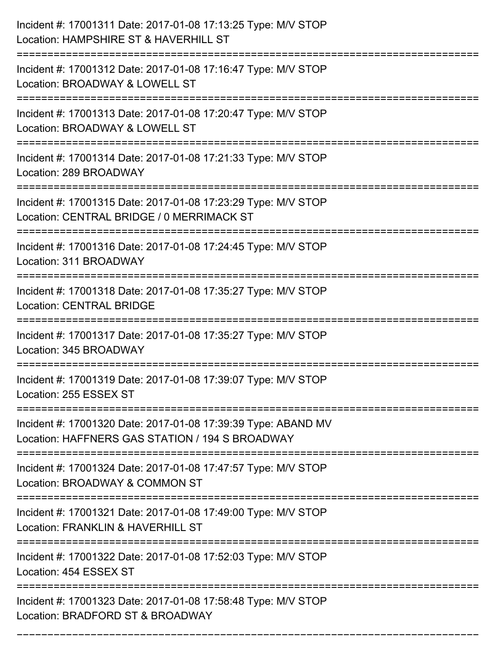| Incident #: 17001311 Date: 2017-01-08 17:13:25 Type: M/V STOP<br>Location: HAMPSHIRE ST & HAVERHILL ST               |
|----------------------------------------------------------------------------------------------------------------------|
| Incident #: 17001312 Date: 2017-01-08 17:16:47 Type: M/V STOP<br>Location: BROADWAY & LOWELL ST                      |
| Incident #: 17001313 Date: 2017-01-08 17:20:47 Type: M/V STOP<br>Location: BROADWAY & LOWELL ST<br>================= |
| Incident #: 17001314 Date: 2017-01-08 17:21:33 Type: M/V STOP<br>Location: 289 BROADWAY                              |
| Incident #: 17001315 Date: 2017-01-08 17:23:29 Type: M/V STOP<br>Location: CENTRAL BRIDGE / 0 MERRIMACK ST           |
| Incident #: 17001316 Date: 2017-01-08 17:24:45 Type: M/V STOP<br>Location: 311 BROADWAY                              |
| Incident #: 17001318 Date: 2017-01-08 17:35:27 Type: M/V STOP<br><b>Location: CENTRAL BRIDGE</b>                     |
| Incident #: 17001317 Date: 2017-01-08 17:35:27 Type: M/V STOP<br>Location: 345 BROADWAY                              |
| Incident #: 17001319 Date: 2017-01-08 17:39:07 Type: M/V STOP<br>Location: 255 ESSEX ST                              |
| Incident #: 17001320 Date: 2017-01-08 17:39:39 Type: ABAND MV<br>Location: HAFFNERS GAS STATION / 194 S BROADWAY     |
| Incident #: 17001324 Date: 2017-01-08 17:47:57 Type: M/V STOP<br>Location: BROADWAY & COMMON ST                      |
| Incident #: 17001321 Date: 2017-01-08 17:49:00 Type: M/V STOP<br>Location: FRANKLIN & HAVERHILL ST                   |
| Incident #: 17001322 Date: 2017-01-08 17:52:03 Type: M/V STOP<br>Location: 454 ESSEX ST                              |
| Incident #: 17001323 Date: 2017-01-08 17:58:48 Type: M/V STOP<br>Location: BRADFORD ST & BROADWAY                    |

===========================================================================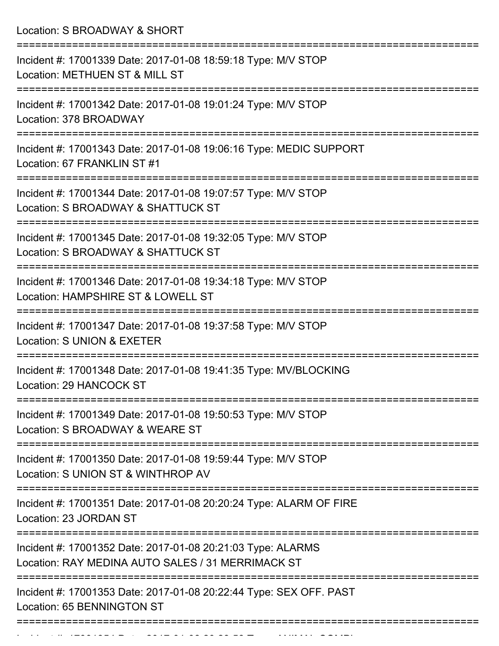| Location: S BROADWAY & SHORT                                                                                                             |
|------------------------------------------------------------------------------------------------------------------------------------------|
| Incident #: 17001339 Date: 2017-01-08 18:59:18 Type: M/V STOP<br>Location: METHUEN ST & MILL ST                                          |
| Incident #: 17001342 Date: 2017-01-08 19:01:24 Type: M/V STOP<br>Location: 378 BROADWAY                                                  |
| Incident #: 17001343 Date: 2017-01-08 19:06:16 Type: MEDIC SUPPORT<br>Location: 67 FRANKLIN ST #1                                        |
| Incident #: 17001344 Date: 2017-01-08 19:07:57 Type: M/V STOP<br>Location: S BROADWAY & SHATTUCK ST<br>--------------------------------- |
| Incident #: 17001345 Date: 2017-01-08 19:32:05 Type: M/V STOP<br>Location: S BROADWAY & SHATTUCK ST                                      |
| Incident #: 17001346 Date: 2017-01-08 19:34:18 Type: M/V STOP<br>Location: HAMPSHIRE ST & LOWELL ST<br>;======================           |
| Incident #: 17001347 Date: 2017-01-08 19:37:58 Type: M/V STOP<br>Location: S UNION & EXETER                                              |
| Incident #: 17001348 Date: 2017-01-08 19:41:35 Type: MV/BLOCKING<br>Location: 29 HANCOCK ST                                              |
| Incident #: 17001349 Date: 2017-01-08 19:50:53 Type: M/V STOP<br>Location: S BROADWAY & WEARE ST<br>===================================  |
| Incident #: 17001350 Date: 2017-01-08 19:59:44 Type: M/V STOP<br>Location: S UNION ST & WINTHROP AV                                      |
| Incident #: 17001351 Date: 2017-01-08 20:20:24 Type: ALARM OF FIRE<br>Location: 23 JORDAN ST                                             |
| Incident #: 17001352 Date: 2017-01-08 20:21:03 Type: ALARMS<br>Location: RAY MEDINA AUTO SALES / 31 MERRIMACK ST                         |
| Incident #: 17001353 Date: 2017-01-08 20:22:44 Type: SEX OFF. PAST<br>Location: 65 BENNINGTON ST                                         |

Incident #: 17001354 Date: 2017 01 08 20:28:58 Type: ANIMAL COMPL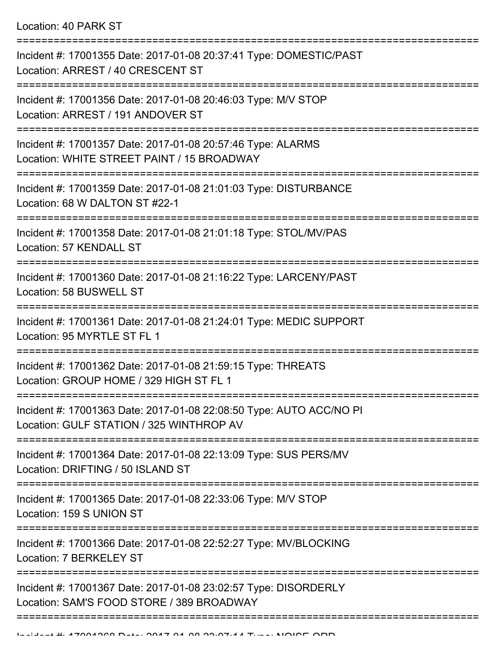Location: 40 PARK ST

| Incident #: 17001355 Date: 2017-01-08 20:37:41 Type: DOMESTIC/PAST<br>Location: ARREST / 40 CRESCENT ST         |
|-----------------------------------------------------------------------------------------------------------------|
| Incident #: 17001356 Date: 2017-01-08 20:46:03 Type: M/V STOP<br>Location: ARREST / 191 ANDOVER ST              |
| Incident #: 17001357 Date: 2017-01-08 20:57:46 Type: ALARMS<br>Location: WHITE STREET PAINT / 15 BROADWAY       |
| Incident #: 17001359 Date: 2017-01-08 21:01:03 Type: DISTURBANCE<br>Location: 68 W DALTON ST #22-1              |
| Incident #: 17001358 Date: 2017-01-08 21:01:18 Type: STOL/MV/PAS<br>Location: 57 KENDALL ST                     |
| Incident #: 17001360 Date: 2017-01-08 21:16:22 Type: LARCENY/PAST<br>Location: 58 BUSWELL ST                    |
| Incident #: 17001361 Date: 2017-01-08 21:24:01 Type: MEDIC SUPPORT<br>Location: 95 MYRTLE ST FL 1               |
| Incident #: 17001362 Date: 2017-01-08 21:59:15 Type: THREATS<br>Location: GROUP HOME / 329 HIGH ST FL 1         |
| Incident #: 17001363 Date: 2017-01-08 22:08:50 Type: AUTO ACC/NO PI<br>Location: GULF STATION / 325 WINTHROP AV |
| Incident #: 17001364 Date: 2017-01-08 22:13:09 Type: SUS PERS/MV<br>Location: DRIFTING / 50 ISLAND ST           |
| Incident #: 17001365 Date: 2017-01-08 22:33:06 Type: M/V STOP<br>Location: 159 S UNION ST                       |
| Incident #: 17001366 Date: 2017-01-08 22:52:27 Type: MV/BLOCKING<br>Location: 7 BERKELEY ST                     |
| Incident #: 17001367 Date: 2017-01-08 23:02:57 Type: DISORDERLY<br>Location: SAM'S FOOD STORE / 389 BROADWAY    |
|                                                                                                                 |